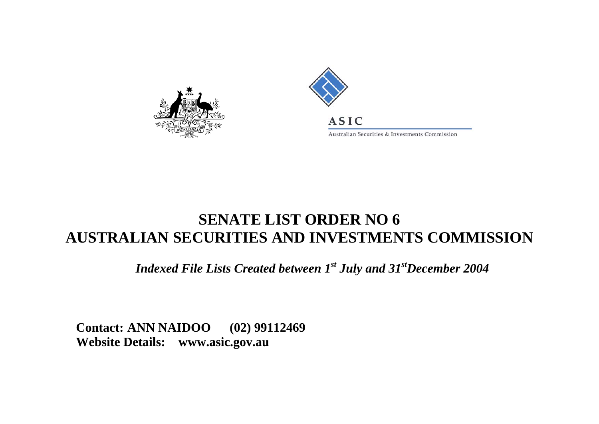



Australian Securities & Investments Commission

## **SENATE LIST ORDER NO 6AUSTRALIAN SECURITIES AND INVESTMENTS COMMISSION**

*Indexed File Lists Created between 1st July and 31stDecember 2004* 

**Contact: ANN NAIDOO (02) 99112469 Website Details: www.asic.gov.au**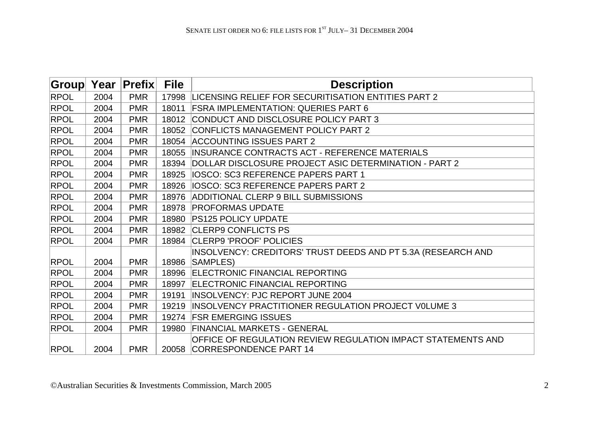| <b>Group</b> | Year | <b>Prefix</b> | <b>File</b> | <b>Description</b>                                                                           |
|--------------|------|---------------|-------------|----------------------------------------------------------------------------------------------|
| <b>RPOL</b>  | 2004 | <b>PMR</b>    | 17998       | LICENSING RELIEF FOR SECURITISATION ENTITIES PART 2                                          |
| <b>RPOL</b>  | 2004 | <b>PMR</b>    | 18011       | <b>FSRA IMPLEMENTATION: QUERIES PART 6</b>                                                   |
| <b>RPOL</b>  | 2004 | <b>PMR</b>    | 18012       | CONDUCT AND DISCLOSURE POLICY PART 3                                                         |
| <b>RPOL</b>  | 2004 | <b>PMR</b>    | 18052       | <b>CONFLICTS MANAGEMENT POLICY PART 2</b>                                                    |
| <b>RPOL</b>  | 2004 | <b>PMR</b>    | 18054       | <b>ACCOUNTING ISSUES PART 2</b>                                                              |
| <b>RPOL</b>  | 2004 | <b>PMR</b>    | 18055       | <b>INSURANCE CONTRACTS ACT - REFERENCE MATERIALS</b>                                         |
| <b>RPOL</b>  | 2004 | <b>PMR</b>    | 18394       | DOLLAR DISCLOSURE PROJECT ASIC DETERMINATION - PART 2                                        |
| <b>RPOL</b>  | 2004 | <b>PMR</b>    | 18925       | <b>IOSCO: SC3 REFERENCE PAPERS PART 1</b>                                                    |
| <b>RPOL</b>  | 2004 | <b>PMR</b>    | 18926       | <b>IOSCO: SC3 REFERENCE PAPERS PART 2</b>                                                    |
| <b>RPOL</b>  | 2004 | <b>PMR</b>    | 18976       | ADDITIONAL CLERP 9 BILL SUBMISSIONS                                                          |
| <b>RPOL</b>  | 2004 | <b>PMR</b>    | 18978       | <b>PROFORMAS UPDATE</b>                                                                      |
| <b>RPOL</b>  | 2004 | <b>PMR</b>    | 18980       | <b>PS125 POLICY UPDATE</b>                                                                   |
| <b>RPOL</b>  | 2004 | <b>PMR</b>    | 18982       | <b>CLERP9 CONFLICTS PS</b>                                                                   |
| <b>RPOL</b>  | 2004 | <b>PMR</b>    | 18984       | CLERP9 'PROOF' POLICIES                                                                      |
| <b>RPOL</b>  | 2004 | <b>PMR</b>    | 18986       | INSOLVENCY: CREDITORS' TRUST DEEDS AND PT 5.3A (RESEARCH AND<br>SAMPLES)                     |
| <b>RPOL</b>  | 2004 | <b>PMR</b>    | 18996       | <b>ELECTRONIC FINANCIAL REPORTING</b>                                                        |
| <b>RPOL</b>  | 2004 | <b>PMR</b>    | 18997       | <b>ELECTRONIC FINANCIAL REPORTING</b>                                                        |
| <b>RPOL</b>  | 2004 | <b>PMR</b>    | 19191       | <b>INSOLVENCY: PJC REPORT JUNE 2004</b>                                                      |
| <b>RPOL</b>  | 2004 | <b>PMR</b>    | 19219       | <b>INSOLVENCY PRACTITIONER REGULATION PROJECT VOLUME 3</b>                                   |
| <b>RPOL</b>  | 2004 | <b>PMR</b>    |             | 19274 FSR EMERGING ISSUES                                                                    |
| <b>RPOL</b>  | 2004 | <b>PMR</b>    | 19980       | <b>FINANCIAL MARKETS - GENERAL</b>                                                           |
| <b>RPOL</b>  | 2004 | <b>PMR</b>    |             | OFFICE OF REGULATION REVIEW REGULATION IMPACT STATEMENTS AND<br>20058 CORRESPONDENCE PART 14 |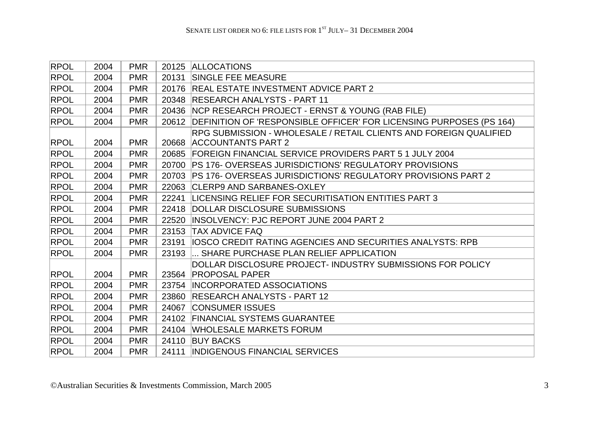| <b>RPOL</b> | 2004 | <b>PMR</b> |       | 20125 ALLOCATIONS                                                   |
|-------------|------|------------|-------|---------------------------------------------------------------------|
| <b>RPOL</b> | 2004 | <b>PMR</b> | 20131 | <b>SINGLE FEE MEASURE</b>                                           |
| <b>RPOL</b> | 2004 | <b>PMR</b> |       | 20176 REAL ESTATE INVESTMENT ADVICE PART 2                          |
| <b>RPOL</b> | 2004 | <b>PMR</b> | 20348 | <b>RESEARCH ANALYSTS - PART 11</b>                                  |
| <b>RPOL</b> | 2004 | <b>PMR</b> | 20436 | NCP RESEARCH PROJECT - ERNST & YOUNG (RAB FILE)                     |
| <b>RPOL</b> | 2004 | <b>PMR</b> | 20612 | DEFINITION OF 'RESPONSIBLE OFFICER' FOR LICENSING PURPOSES (PS 164) |
|             |      |            |       | RPG SUBMISSION - WHOLESALE / RETAIL CLIENTS AND FOREIGN QUALIFIED   |
| <b>RPOL</b> | 2004 | <b>PMR</b> | 20668 | <b>ACCOUNTANTS PART 2</b>                                           |
| <b>RPOL</b> | 2004 | <b>PMR</b> | 20685 | FOREIGN FINANCIAL SERVICE PROVIDERS PART 5 1 JULY 2004              |
| <b>RPOL</b> | 2004 | <b>PMR</b> | 20700 | <b>PS 176- OVERSEAS JURISDICTIONS' REGULATORY PROVISIONS</b>        |
| <b>RPOL</b> | 2004 | <b>PMR</b> | 20703 | <b>PS 176- OVERSEAS JURISDICTIONS' REGULATORY PROVISIONS PART 2</b> |
| <b>RPOL</b> | 2004 | <b>PMR</b> | 22063 | CLERP9 AND SARBANES-OXLEY                                           |
| <b>RPOL</b> | 2004 | <b>PMR</b> | 22241 | LICENSING RELIEF FOR SECURITISATION ENTITIES PART 3                 |
| <b>RPOL</b> | 2004 | <b>PMR</b> | 22418 | DOLLAR DISCLOSURE SUBMISSIONS                                       |
| <b>RPOL</b> | 2004 | <b>PMR</b> | 22520 | <b>INSOLVENCY: PJC REPORT JUNE 2004 PART 2</b>                      |
| <b>RPOL</b> | 2004 | <b>PMR</b> | 23153 | <b>TAX ADVICE FAQ</b>                                               |
| <b>RPOL</b> | 2004 | <b>PMR</b> | 23191 | <b>IIOSCO CREDIT RATING AGENCIES AND SECURITIES ANALYSTS: RPB</b>   |
| <b>RPOL</b> | 2004 | <b>PMR</b> | 23193 | SHARE PURCHASE PLAN RELIEF APPLICATION                              |
|             |      |            |       | DOLLAR DISCLOSURE PROJECT- INDUSTRY SUBMISSIONS FOR POLICY          |
| <b>RPOL</b> | 2004 | <b>PMR</b> |       | 23564 PROPOSAL PAPER                                                |
| <b>RPOL</b> | 2004 | <b>PMR</b> |       | 23754 INCORPORATED ASSOCIATIONS                                     |
| <b>RPOL</b> | 2004 | <b>PMR</b> | 23860 | <b>RESEARCH ANALYSTS - PART 12</b>                                  |
| <b>RPOL</b> | 2004 | <b>PMR</b> | 24067 | <b>CONSUMER ISSUES</b>                                              |
| RPOL        | 2004 | <b>PMR</b> | 24102 | <b>FINANCIAL SYSTEMS GUARANTEE</b>                                  |
| <b>RPOL</b> | 2004 | <b>PMR</b> |       | 24104 WHOLESALE MARKETS FORUM                                       |
| <b>RPOL</b> | 2004 | <b>PMR</b> | 24110 | <b>BUY BACKS</b>                                                    |
| <b>RPOL</b> | 2004 | <b>PMR</b> | 24111 | <b>INDIGENOUS FINANCIAL SERVICES</b>                                |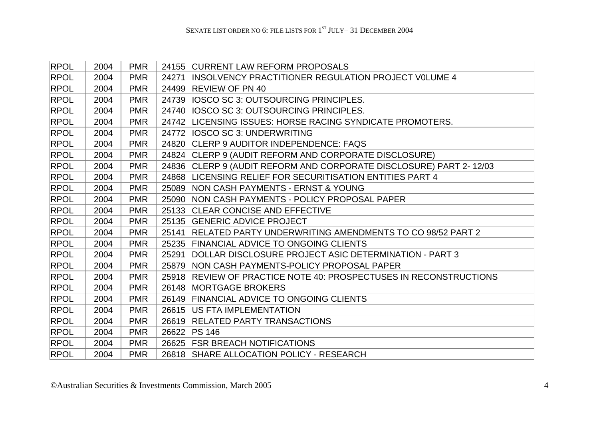| <b>RPOL</b> | 2004 | <b>PMR</b> |       | 24155 CURRENT LAW REFORM PROPOSALS                                 |
|-------------|------|------------|-------|--------------------------------------------------------------------|
| <b>RPOL</b> | 2004 | <b>PMR</b> | 24271 | <b>INSOLVENCY PRACTITIONER REGULATION PROJECT VOLUME 4</b>         |
| <b>RPOL</b> | 2004 | <b>PMR</b> |       | 24499 REVIEW OF PN 40                                              |
| <b>RPOL</b> | 2004 | <b>PMR</b> | 24739 | <b>IOSCO SC 3: OUTSOURCING PRINCIPLES.</b>                         |
| <b>RPOL</b> | 2004 | <b>PMR</b> |       | 24740   IOSCO SC 3: OUTSOURCING PRINCIPLES.                        |
| <b>RPOL</b> | 2004 | <b>PMR</b> |       | 24742 LICENSING ISSUES: HORSE RACING SYNDICATE PROMOTERS.          |
| RPOL        | 2004 | <b>PMR</b> |       | 24772   IOSCO SC 3: UNDERWRITING                                   |
| <b>RPOL</b> | 2004 | <b>PMR</b> |       | 24820 CLERP 9 AUDITOR INDEPENDENCE: FAQS                           |
| <b>RPOL</b> | 2004 | <b>PMR</b> |       | 24824 CLERP 9 (AUDIT REFORM AND CORPORATE DISCLOSURE)              |
| <b>RPOL</b> | 2004 | <b>PMR</b> |       | 24836 CLERP 9 (AUDIT REFORM AND CORPORATE DISCLOSURE) PART 2-12/03 |
| <b>RPOL</b> | 2004 | <b>PMR</b> |       | 24868 LICENSING RELIEF FOR SECURITISATION ENTITIES PART 4          |
| <b>RPOL</b> | 2004 | <b>PMR</b> |       | 25089 NON CASH PAYMENTS - ERNST & YOUNG                            |
| <b>RPOL</b> | 2004 | <b>PMR</b> |       | 25090 NON CASH PAYMENTS - POLICY PROPOSAL PAPER                    |
| <b>RPOL</b> | 2004 | <b>PMR</b> |       | 25133 CLEAR CONCISE AND EFFECTIVE                                  |
| <b>RPOL</b> | 2004 | <b>PMR</b> |       | 25135 GENERIC ADVICE PROJECT                                       |
| <b>RPOL</b> | 2004 | <b>PMR</b> | 25141 | <b>RELATED PARTY UNDERWRITING AMENDMENTS TO CO 98/52 PART 2</b>    |
| <b>RPOL</b> | 2004 | <b>PMR</b> |       | 25235 FINANCIAL ADVICE TO ONGOING CLIENTS                          |
| <b>RPOL</b> | 2004 | <b>PMR</b> | 25291 | DOLLAR DISCLOSURE PROJECT ASIC DETERMINATION - PART 3              |
| <b>RPOL</b> | 2004 | <b>PMR</b> |       | 25879 NON CASH PAYMENTS-POLICY PROPOSAL PAPER                      |
| <b>RPOL</b> | 2004 | <b>PMR</b> |       | 25918 REVIEW OF PRACTICE NOTE 40: PROSPECTUSES IN RECONSTRUCTIONS  |
| <b>RPOL</b> | 2004 | <b>PMR</b> |       | 26148 MORTGAGE BROKERS                                             |
| <b>RPOL</b> | 2004 | <b>PMR</b> |       | 26149 FINANCIAL ADVICE TO ONGOING CLIENTS                          |
| <b>RPOL</b> | 2004 | <b>PMR</b> |       | 26615   US FTA IMPLEMENTATION                                      |
| <b>RPOL</b> | 2004 | <b>PMR</b> |       | 26619 RELATED PARTY TRANSACTIONS                                   |
| <b>RPOL</b> | 2004 | <b>PMR</b> |       | 26622 PS 146                                                       |
| <b>RPOL</b> | 2004 | <b>PMR</b> |       | 26625 FSR BREACH NOTIFICATIONS                                     |
| <b>RPOL</b> | 2004 | <b>PMR</b> |       | 26818 SHARE ALLOCATION POLICY - RESEARCH                           |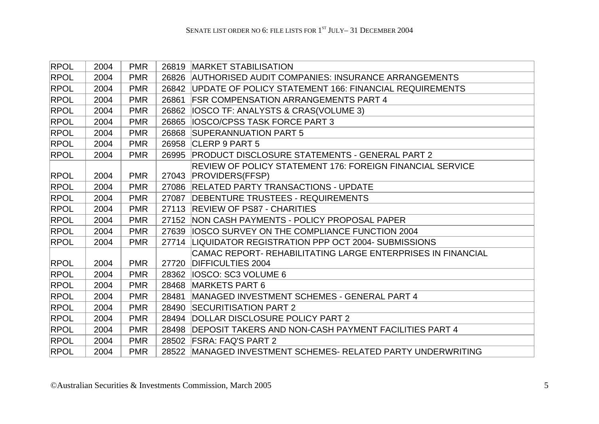| <b>RPOL</b> | 2004 | <b>PMR</b> | 26819 | <b>MARKET STABILISATION</b>                                  |
|-------------|------|------------|-------|--------------------------------------------------------------|
| <b>RPOL</b> | 2004 | <b>PMR</b> | 26826 | <b>AUTHORISED AUDIT COMPANIES: INSURANCE ARRANGEMENTS</b>    |
| <b>RPOL</b> | 2004 | <b>PMR</b> |       | 26842 UPDATE OF POLICY STATEMENT 166: FINANCIAL REQUIREMENTS |
| <b>RPOL</b> | 2004 | <b>PMR</b> | 26861 | <b>FSR COMPENSATION ARRANGEMENTS PART 4</b>                  |
| <b>RPOL</b> | 2004 | <b>PMR</b> | 26862 | <b>IOSCO TF: ANALYSTS &amp; CRAS(VOLUME 3)</b>               |
| <b>RPOL</b> | 2004 | <b>PMR</b> | 26865 | <b>IOSCO/CPSS TASK FORCE PART 3</b>                          |
| <b>RPOL</b> | 2004 | <b>PMR</b> | 26868 | <b>SUPERANNUATION PART 5</b>                                 |
| <b>RPOL</b> | 2004 | <b>PMR</b> | 26958 | CLERP 9 PART 5                                               |
| <b>RPOL</b> | 2004 | <b>PMR</b> | 26995 | <b>PRODUCT DISCLOSURE STATEMENTS - GENERAL PART 2</b>        |
|             |      |            |       | REVIEW OF POLICY STATEMENT 176: FOREIGN FINANCIAL SERVICE    |
| <b>RPOL</b> | 2004 | <b>PMR</b> |       | 27043 PROVIDERS(FFSP)                                        |
| <b>RPOL</b> | 2004 | <b>PMR</b> |       | 27086 RELATED PARTY TRANSACTIONS - UPDATE                    |
| <b>RPOL</b> | 2004 | <b>PMR</b> | 27087 | <b>DEBENTURE TRUSTEES - REQUIREMENTS</b>                     |
| <b>RPOL</b> | 2004 | <b>PMR</b> | 27113 | <b>REVIEW OF PS87 - CHARITIES</b>                            |
| <b>RPOL</b> | 2004 | <b>PMR</b> | 27152 | NON CASH PAYMENTS - POLICY PROPOSAL PAPER                    |
| <b>RPOL</b> | 2004 | <b>PMR</b> |       | 27639 IOSCO SURVEY ON THE COMPLIANCE FUNCTION 2004           |
| <b>RPOL</b> | 2004 | <b>PMR</b> |       | 27714 LIQUIDATOR REGISTRATION PPP OCT 2004- SUBMISSIONS      |
|             |      |            |       | CAMAC REPORT- REHABILITATING LARGE ENTERPRISES IN FINANCIAL  |
| <b>RPOL</b> | 2004 | <b>PMR</b> | 27720 | <b>DIFFICULTIES 2004</b>                                     |
| <b>RPOL</b> | 2004 | <b>PMR</b> |       | 28362   IOSCO: SC3 VOLUME 6                                  |
| <b>RPOL</b> | 2004 | <b>PMR</b> | 28468 | <b>MARKETS PART 6</b>                                        |
| <b>RPOL</b> | 2004 | <b>PMR</b> | 28481 | MANAGED INVESTMENT SCHEMES - GENERAL PART 4                  |
| <b>RPOL</b> | 2004 | <b>PMR</b> | 28490 | <b>SECURITISATION PART 2</b>                                 |
| <b>RPOL</b> | 2004 | <b>PMR</b> | 28494 | DOLLAR DISCLOSURE POLICY PART 2                              |
| <b>RPOL</b> | 2004 | <b>PMR</b> | 28498 | <b>DEPOSIT TAKERS AND NON-CASH PAYMENT FACILITIES PART 4</b> |
| <b>RPOL</b> | 2004 | <b>PMR</b> | 28502 | <b>FSRA: FAQ'S PART 2</b>                                    |
| <b>RPOL</b> | 2004 | <b>PMR</b> |       | 28522 MANAGED INVESTMENT SCHEMES- RELATED PARTY UNDERWRITING |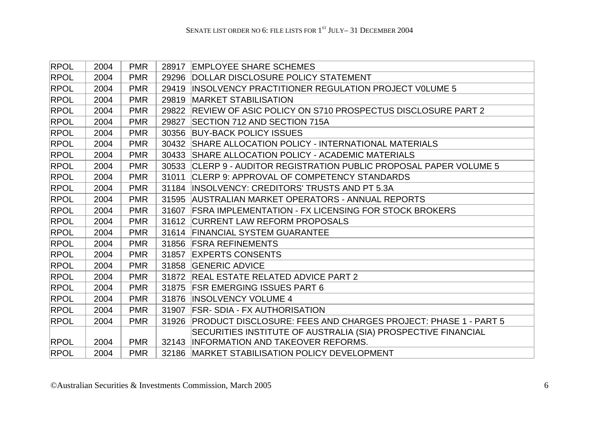| <b>RPOL</b> | 2004 | <b>PMR</b> | 28917 | <b>EMPLOYEE SHARE SCHEMES</b>                                        |
|-------------|------|------------|-------|----------------------------------------------------------------------|
| <b>RPOL</b> | 2004 | <b>PMR</b> |       | 29296 DOLLAR DISCLOSURE POLICY STATEMENT                             |
| <b>RPOL</b> | 2004 | <b>PMR</b> |       | 29419 INSOLVENCY PRACTITIONER REGULATION PROJECT VOLUME 5            |
| <b>RPOL</b> | 2004 | <b>PMR</b> | 29819 | <b>MARKET STABILISATION</b>                                          |
| <b>RPOL</b> | 2004 | <b>PMR</b> |       | 29822 REVIEW OF ASIC POLICY ON S710 PROSPECTUS DISCLOSURE PART 2     |
| <b>RPOL</b> | 2004 | <b>PMR</b> | 29827 | SECTION 712 AND SECTION 715A                                         |
| <b>RPOL</b> | 2004 | <b>PMR</b> | 30356 | <b>BUY-BACK POLICY ISSUES</b>                                        |
| <b>RPOL</b> | 2004 | <b>PMR</b> |       | 30432 SHARE ALLOCATION POLICY - INTERNATIONAL MATERIALS              |
| <b>RPOL</b> | 2004 | <b>PMR</b> |       | 30433 SHARE ALLOCATION POLICY - ACADEMIC MATERIALS                   |
| <b>RPOL</b> | 2004 | <b>PMR</b> |       | 30533 CLERP 9 - AUDITOR REGISTRATION PUBLIC PROPOSAL PAPER VOLUME 5  |
| <b>RPOL</b> | 2004 | <b>PMR</b> | 31011 | CLERP 9: APPROVAL OF COMPETENCY STANDARDS                            |
| <b>RPOL</b> | 2004 | <b>PMR</b> | 31184 | <b>INSOLVENCY: CREDITORS' TRUSTS AND PT 5.3A</b>                     |
| RPOL        | 2004 | <b>PMR</b> |       | 31595 AUSTRALIAN MARKET OPERATORS - ANNUAL REPORTS                   |
| <b>RPOL</b> | 2004 | <b>PMR</b> | 31607 | <b>FSRA IMPLEMENTATION - FX LICENSING FOR STOCK BROKERS</b>          |
| <b>RPOL</b> | 2004 | <b>PMR</b> |       | 31612 CURRENT LAW REFORM PROPOSALS                                   |
| <b>RPOL</b> | 2004 | <b>PMR</b> |       | 31614 FINANCIAL SYSTEM GUARANTEE                                     |
| <b>RPOL</b> | 2004 | <b>PMR</b> |       | 31856 FSRA REFINEMENTS                                               |
| <b>RPOL</b> | 2004 | <b>PMR</b> | 31857 | <b>EXPERTS CONSENTS</b>                                              |
| <b>RPOL</b> | 2004 | <b>PMR</b> |       | 31858 GENERIC ADVICE                                                 |
| <b>RPOL</b> | 2004 | <b>PMR</b> |       | 31872 REAL ESTATE RELATED ADVICE PART 2                              |
| <b>RPOL</b> | 2004 | <b>PMR</b> |       | 31875 FSR EMERGING ISSUES PART 6                                     |
| <b>RPOL</b> | 2004 | <b>PMR</b> | 31876 | <b>INSOLVENCY VOLUME 4</b>                                           |
| <b>RPOL</b> | 2004 | <b>PMR</b> | 31907 | <b>FSR-SDIA - FX AUTHORISATION</b>                                   |
| <b>RPOL</b> | 2004 | <b>PMR</b> |       | 31926 PRODUCT DISCLOSURE: FEES AND CHARGES PROJECT: PHASE 1 - PART 5 |
|             |      |            |       | SECURITIES INSTITUTE OF AUSTRALIA (SIA) PROSPECTIVE FINANCIAL        |
| <b>RPOL</b> | 2004 | <b>PMR</b> |       | 32143 INFORMATION AND TAKEOVER REFORMS.                              |
| <b>RPOL</b> | 2004 | <b>PMR</b> |       | 32186 MARKET STABILISATION POLICY DEVELOPMENT                        |